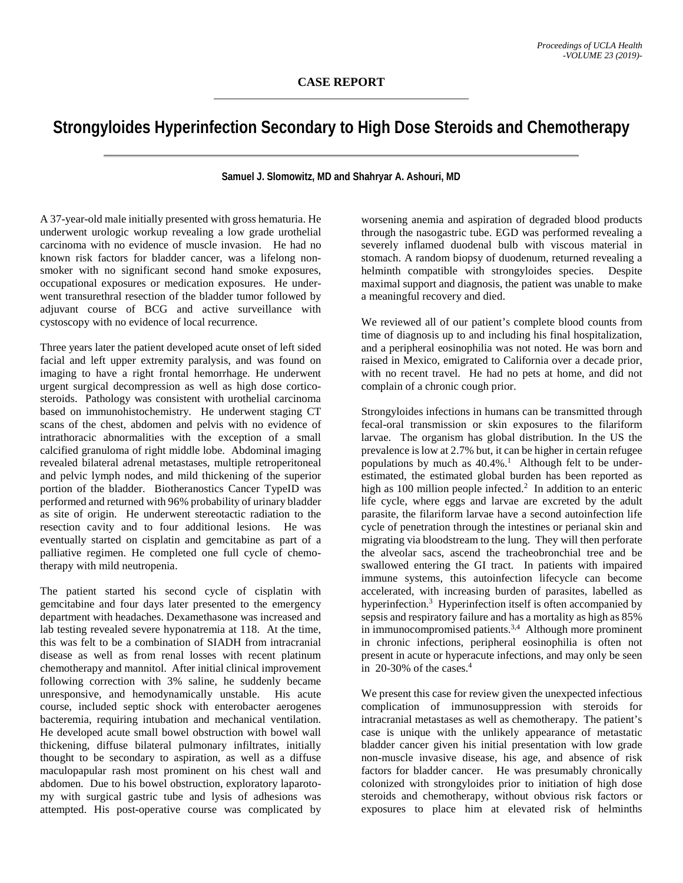## **Strongyloides Hyperinfection Secondary to High Dose Steroids and Chemotherapy**

**Samuel J. Slomowitz, MD and Shahryar A. Ashouri, MD**

A 37-year-old male initially presented with gross hematuria. He underwent urologic workup revealing a low grade urothelial carcinoma with no evidence of muscle invasion. He had no known risk factors for bladder cancer, was a lifelong nonsmoker with no significant second hand smoke exposures, occupational exposures or medication exposures. He underwent transurethral resection of the bladder tumor followed by adjuvant course of BCG and active surveillance with cystoscopy with no evidence of local recurrence.

Three years later the patient developed acute onset of left sided facial and left upper extremity paralysis, and was found on imaging to have a right frontal hemorrhage. He underwent urgent surgical decompression as well as high dose corticosteroids. Pathology was consistent with urothelial carcinoma based on immunohistochemistry. He underwent staging CT scans of the chest, abdomen and pelvis with no evidence of intrathoracic abnormalities with the exception of a small calcified granuloma of right middle lobe. Abdominal imaging revealed bilateral adrenal metastases, multiple retroperitoneal and pelvic lymph nodes, and mild thickening of the superior portion of the bladder. Biotheranostics Cancer TypeID was performed and returned with 96% probability of urinary bladder as site of origin. He underwent stereotactic radiation to the resection cavity and to four additional lesions. He was eventually started on cisplatin and gemcitabine as part of a palliative regimen. He completed one full cycle of chemotherapy with mild neutropenia.

The patient started his second cycle of cisplatin with gemcitabine and four days later presented to the emergency department with headaches. Dexamethasone was increased and lab testing revealed severe hyponatremia at 118. At the time, this was felt to be a combination of SIADH from intracranial disease as well as from renal losses with recent platinum chemotherapy and mannitol. After initial clinical improvement following correction with 3% saline, he suddenly became unresponsive, and hemodynamically unstable. His acute course, included septic shock with enterobacter aerogenes bacteremia, requiring intubation and mechanical ventilation. He developed acute small bowel obstruction with bowel wall thickening, diffuse bilateral pulmonary infiltrates, initially thought to be secondary to aspiration, as well as a diffuse maculopapular rash most prominent on his chest wall and abdomen. Due to his bowel obstruction, exploratory laparotomy with surgical gastric tube and lysis of adhesions was attempted. His post-operative course was complicated by

worsening anemia and aspiration of degraded blood products through the nasogastric tube. EGD was performed revealing a severely inflamed duodenal bulb with viscous material in stomach. A random biopsy of duodenum, returned revealing a helminth compatible with strongyloides species. Despite maximal support and diagnosis, the patient was unable to make a meaningful recovery and died.

We reviewed all of our patient's complete blood counts from time of diagnosis up to and including his final hospitalization, and a peripheral eosinophilia was not noted. He was born and raised in Mexico, emigrated to California over a decade prior, with no recent travel. He had no pets at home, and did not complain of a chronic cough prior.

Strongyloides infections in humans can be transmitted through fecal-oral transmission or skin exposures to the filariform larvae. The organism has global distribution. In the US the prevalence is low at 2.7% but, it can be higher in certain refugee populations by much as 40.4%.<sup>1</sup> Although felt to be underestimated, the estimated global burden has been reported as high as 100 million people infected.<sup>2</sup> In addition to an enteric life cycle, where eggs and larvae are excreted by the adult parasite, the filariform larvae have a second autoinfection life cycle of penetration through the intestines or perianal skin and migrating via bloodstream to the lung. They will then perforate the alveolar sacs, ascend the tracheobronchial tree and be swallowed entering the GI tract. In patients with impaired immune systems, this autoinfection lifecycle can become accelerated, with increasing burden of parasites, labelled as hyperinfection.<sup>3</sup> Hyperinfection itself is often accompanied by sepsis and respiratory failure and has a mortality as high as 85% in immunocompromised patients.<sup>3,4</sup> Although more prominent in chronic infections, peripheral eosinophilia is often not present in acute or hyperacute infections, and may only be seen in 20-30% of the cases. 4

We present this case for review given the unexpected infectious complication of immunosuppression with steroids for intracranial metastases as well as chemotherapy. The patient's case is unique with the unlikely appearance of metastatic bladder cancer given his initial presentation with low grade non-muscle invasive disease, his age, and absence of risk factors for bladder cancer. He was presumably chronically colonized with strongyloides prior to initiation of high dose steroids and chemotherapy, without obvious risk factors or exposures to place him at elevated risk of helminths